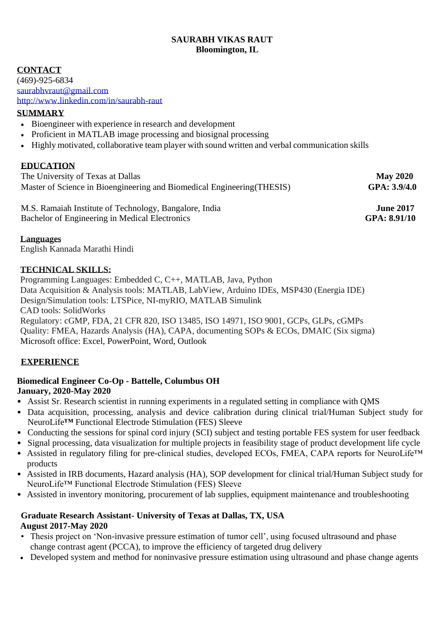# **SAURABH VIKAS RAUT Bloomington, IL**

# **CONTACT**

(469)-925-6834 [saurabhvraut@gmail.com](mailto:saurabhvraut@gmail.comhttp://www.linkedin.com/in/saurabh-raut) [http://www.linkedin.com/in/saurabh-raut](mailto:saurabhvraut@gmail.comhttp://www.linkedin.com/in/saurabh-raut)

# **SUMMARY**

- Bioengineer with experience in research and development
- Proficient in MATLAB image processing and biosignal processing
- Highly motivated, collaborative team player with sound written and verbal communication skills

# **EDUCATION**

| The University of Texas at Dallas                                       | <b>May 2020</b>  |
|-------------------------------------------------------------------------|------------------|
| Master of Science in Bioengineering and Biomedical Engineering (THESIS) | GPA: 3.9/4.0     |
| M.S. Ramaiah Institute of Technology, Bangalore, India                  | <b>June 2017</b> |
| Bachelor of Engineering in Medical Electronics                          | GPA: 8.91/10     |

## **Languages**

English Kannada Marathi Hindi

## **TECHNICAL SKILLS:**

Programming Languages: Embedded C, C++, MATLAB, Java, Python Data Acquisition & Analysis tools: MATLAB, LabView, Arduino IDEs, MSP430 (Energia IDE) Design/Simulation tools: LTSPice, NI-myRIO, MATLAB Simulink CAD tools: SolidWorks Regulatory: cGMP, FDA, 21 CFR 820, ISO 13485, ISO 14971, ISO 9001, GCPs, GLPs, cGMPs Quality: FMEA, Hazards Analysis (HA), CAPA, documenting SOPs & ECOs, DMAIC (Six sigma) Microsoft office: Excel, PowerPoint, Word, Outlook

#### **EXPERIENCE**

#### **Biomedical Engineer Co-Op - Battelle, Columbus OH January, 2020-May 2020**

- Assist Sr. Research scientist in running experiments in a regulated setting in compliance with QMS
- Data acquisition, processing, analysis and device calibration during clinical trial/Human Subject study for NeuroLife**™** Functional Electrode Stimulation (FES) Sleeve
- Conducting the sessions for spinal cord injury (SCI) subject and testing portable FES system for user feedback
- Signal processing, data visualization for multiple projects in feasibility stage of product development life cycle
- Assisted in regulatory filing for pre-clinical studies, developed ECOs, FMEA, CAPA reports for NeuroLife<sup>TM</sup> products
- Assisted in IRB documents, Hazard analysis (HA), SOP development for clinical trial/Human Subject study for NeuroLife™ Functional Electrode Stimulation (FES) Sleeve
- Assisted in inventory monitoring, procurement of lab supplies, equipment maintenance and troubleshooting

#### **Graduate Research Assistant- University of Texas at Dallas, TX, USA August 2017-May 2020**

- Thesis project on 'Non-invasive pressure estimation of tumor cell', using focused ultrasound and phase change contrast agent (PCCA), to improve the efficiency of targeted drug delivery
- Developed system and method for noninvasive pressure estimation using ultrasound and phase change agents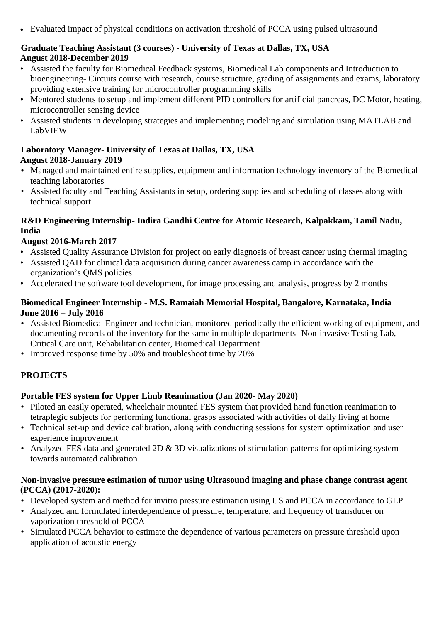• Evaluated impact of physical conditions on activation threshold of PCCA using pulsed ultrasound

# **Graduate Teaching Assistant (3 courses) - University of Texas at Dallas, TX, USA August 2018-December 2019**

- Assisted the faculty for Biomedical Feedback systems, Biomedical Lab components and Introduction to bioengineering- Circuits course with research, course structure, grading of assignments and exams, laboratory providing extensive training for microcontroller programming skills
- Mentored students to setup and implement different PID controllers for artificial pancreas, DC Motor, heating, microcontroller sensing device
- Assisted students in developing strategies and implementing modeling and simulation using MATLAB and LabVIEW

# **Laboratory Manager- University of Texas at Dallas, TX, USA August 2018-January 2019**

- Managed and maintained entire supplies, equipment and information technology inventory of the Biomedical teaching laboratories
- Assisted faculty and Teaching Assistants in setup, ordering supplies and scheduling of classes along with technical support

# **R&D Engineering Internship- Indira Gandhi Centre for Atomic Research, Kalpakkam, Tamil Nadu, India**

# **August 2016-March 2017**

- Assisted Quality Assurance Division for project on early diagnosis of breast cancer using thermal imaging
- Assisted QAD for clinical data acquisition during cancer awareness camp in accordance with the organization's QMS policies
- Accelerated the software tool development, for image processing and analysis, progress by 2 months

# **Biomedical Engineer Internship - M.S. Ramaiah Memorial Hospital, Bangalore, Karnataka, India June 2016 – July 2016**

- Assisted Biomedical Engineer and technician, monitored periodically the efficient working of equipment, and documenting records of the inventory for the same in multiple departments- Non-invasive Testing Lab, Critical Care unit, Rehabilitation center, Biomedical Department
- Improved response time by 50% and troubleshoot time by 20%

# **PROJECTS**

# **Portable FES system for Upper Limb Reanimation (Jan 2020- May 2020)**

- Piloted an easily operated, wheelchair mounted FES system that provided hand function reanimation to tetraplegic subjects for performing functional grasps associated with activities of daily living at home
- Technical set-up and device calibration, along with conducting sessions for system optimization and user experience improvement
- Analyzed FES data and generated 2D & 3D visualizations of stimulation patterns for optimizing system towards automated calibration

## **Non-invasive pressure estimation of tumor using Ultrasound imaging and phase change contrast agent (PCCA) (2017-2020):**

- Developed system and method for invitro pressure estimation using US and PCCA in accordance to GLP
- Analyzed and formulated interdependence of pressure, temperature, and frequency of transducer on vaporization threshold of PCCA
- Simulated PCCA behavior to estimate the dependence of various parameters on pressure threshold upon application of acoustic energy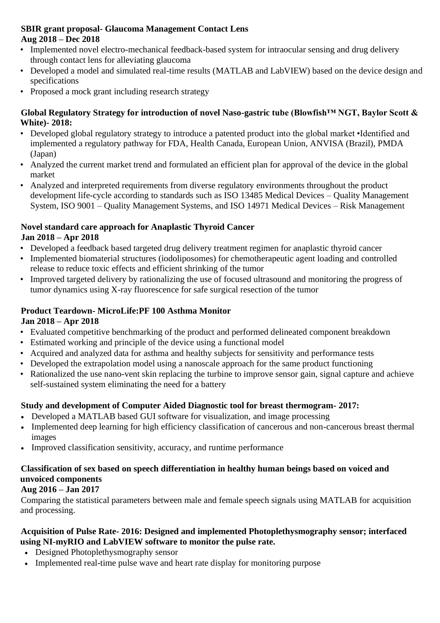#### **SBIR grant proposal- Glaucoma Management Contact Lens Aug 2018 – Dec 2018**

- Implemented novel electro-mechanical feedback-based system for intraocular sensing and drug delivery through contact lens for alleviating glaucoma
- Developed a model and simulated real-time results (MATLAB and LabVIEW) based on the device design and specifications
- Proposed a mock grant including research strategy

#### **Global Regulatory Strategy for introduction of novel Naso-gastric tube (Blowfish™ NGT, Baylor Scott & White)- 2018:**

- Developed global regulatory strategy to introduce a patented product into the global market •Identified and implemented a regulatory pathway for FDA, Health Canada, European Union, ANVISA (Brazil), PMDA (Japan)
- Analyzed the current market trend and formulated an efficient plan for approval of the device in the global market
- Analyzed and interpreted requirements from diverse regulatory environments throughout the product development life-cycle according to standards such as ISO 13485 Medical Devices – Quality Management System, ISO 9001 – Quality Management Systems, and ISO 14971 Medical Devices – Risk Management

# **Novel standard care approach for Anaplastic Thyroid Cancer**

- **Jan 2018 – Apr 2018**
- Developed a feedback based targeted drug delivery treatment regimen for anaplastic thyroid cancer
- Implemented biomaterial structures (iodoliposomes) for chemotherapeutic agent loading and controlled release to reduce toxic effects and efficient shrinking of the tumor
- Improved targeted delivery by rationalizing the use of focused ultrasound and monitoring the progress of tumor dynamics using X-ray fluorescence for safe surgical resection of the tumor

# **Product Teardown- MicroLife:PF 100 Asthma Monitor**

# **Jan 2018 – Apr 2018**

- Evaluated competitive benchmarking of the product and performed delineated component breakdown
- Estimated working and principle of the device using a functional model
- Acquired and analyzed data for asthma and healthy subjects for sensitivity and performance tests
- Developed the extrapolation model using a nanoscale approach for the same product functioning
- Rationalized the use nano-vent skin replacing the turbine to improve sensor gain, signal capture and achieve self-sustained system eliminating the need for a battery

# **Study and development of Computer Aided Diagnostic tool for breast thermogram- 2017:**

- Developed a MATLAB based GUI software for visualization, and image processing
- Implemented deep learning for high efficiency classification of cancerous and non-cancerous breast thermal images
- Improved classification sensitivity, accuracy, and runtime performance

# **Classification of sex based on speech differentiation in healthy human beings based on voiced and unvoiced components**

# **Aug 2016 – Jan 2017**

Comparing the statistical parameters between male and female speech signals using MATLAB for acquisition and processing.

## **Acquisition of Pulse Rate- 2016: Designed and implemented Photoplethysmography sensor; interfaced using NI-myRIO and LabVIEW software to monitor the pulse rate.**

- Designed Photoplethysmography sensor
- Implemented real-time pulse wave and heart rate display for monitoring purpose